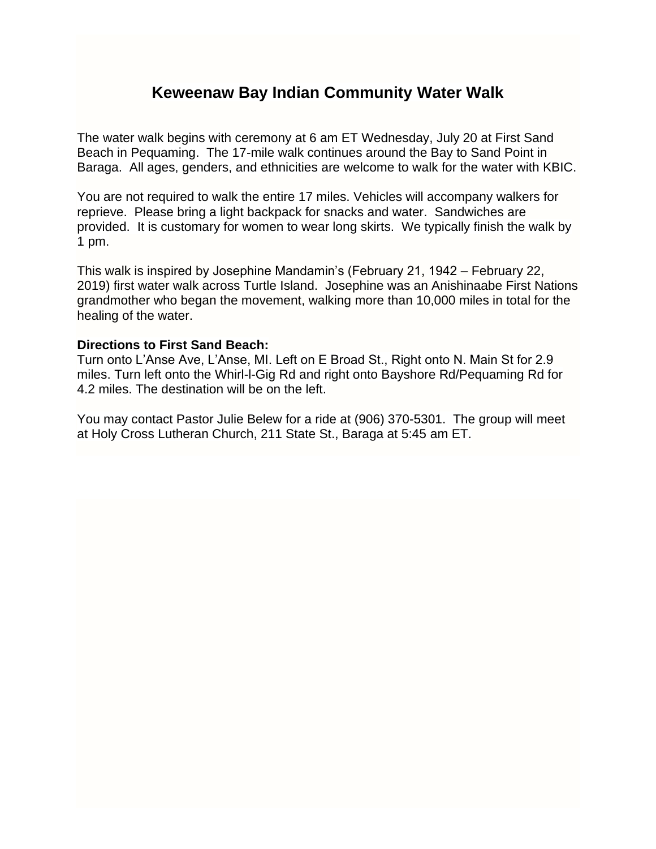## **Keweenaw Bay Indian Community Water Walk**

The water walk begins with ceremony at 6 am ET Wednesday, July 20 at First Sand Beach in Pequaming. The 17-mile walk continues around the Bay to Sand Point in Baraga. All ages, genders, and ethnicities are welcome to walk for the water with KBIC.

You are not required to walk the entire 17 miles. Vehicles will accompany walkers for reprieve. Please bring a light backpack for snacks and water. Sandwiches are provided. It is customary for women to wear long skirts. We typically finish the walk by 1 pm.

This walk is inspired by Josephine Mandamin's (February 21, 1942 – February 22, 2019) first water walk across Turtle Island. Josephine was an Anishinaabe First Nations grandmother who began the movement, walking more than 10,000 miles in total for the healing of the water.

## **Directions to First Sand Beach:**

Turn onto L'Anse Ave, L'Anse, MI. Left on E Broad St., Right onto N. Main St for 2.9 miles. Turn left onto the Whirl-l-Gig Rd and right onto Bayshore Rd/Pequaming Rd for 4.2 miles. The destination will be on the left.

You may contact Pastor Julie Belew for a ride at (906) 370-5301. The group will meet at Holy Cross Lutheran Church, 211 State St., Baraga at 5:45 am ET.